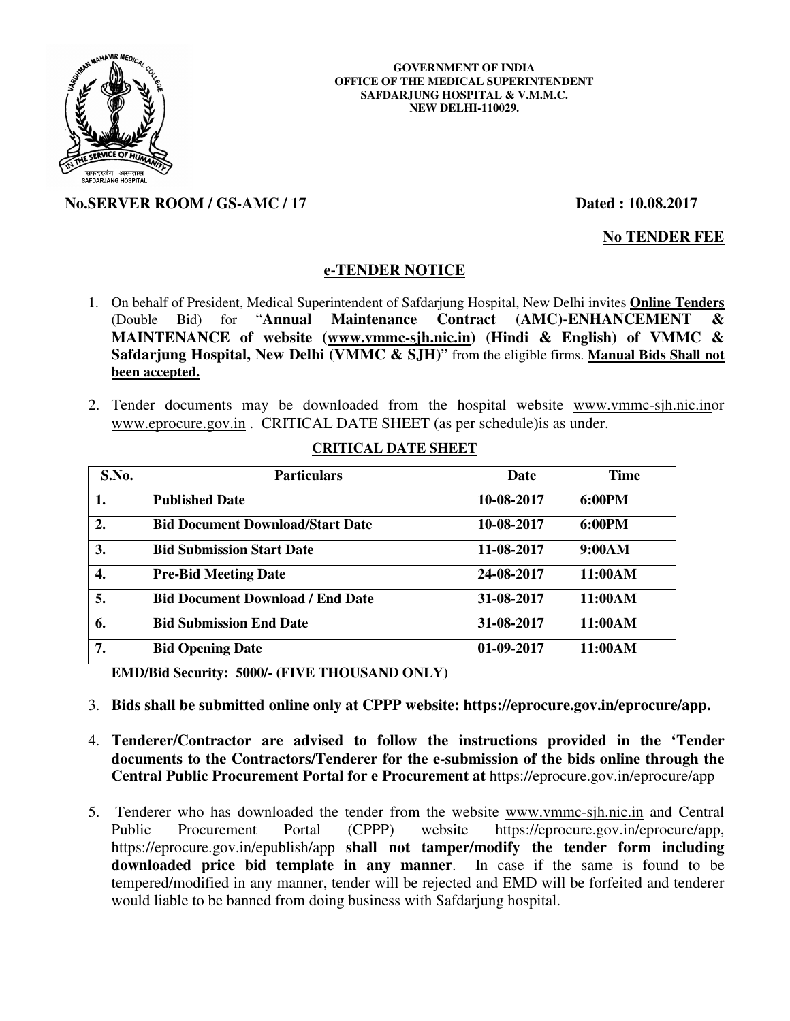

### **GOVERNMENT OF INDIA OFFICE OF THE MEDICAL SUPERINTENDENT SAFDARJUNG HOSPITAL & V.M.M.C. NEW DELHI-110029.**

# **No.SERVER ROOM / GS-AMC / 17 Dated : 10.08.2017**

**No TENDER FEE**

## **e-TENDER NOTICE**

- 1. On behalf of President, Medical Superintendent of Safdarjung Hospital, New Delhi invites **Online Tenders**  (Double Bid) for "**Annual Maintenance Contract (AMC)-ENHANCEMENT & MAINTENANCE of website (www.vmmc-sjh.nic.in) (Hindi & English) of VMMC & Safdarjung Hospital, New Delhi (VMMC & SJH)**" from the eligible firms. **Manual Bids Shall not been accepted.**
- 2. Tender documents may be downloaded from the hospital website www.vmmc-sjh.nic.inor www.eprocure.gov.in . CRITICAL DATE SHEET (as per schedule)is as under.

| S.No. | <b>Particulars</b>                      | Date       | <b>Time</b> |
|-------|-----------------------------------------|------------|-------------|
| 1.    | <b>Published Date</b>                   | 10-08-2017 | 6:00PM      |
| 2.    | <b>Bid Document Download/Start Date</b> | 10-08-2017 | 6:00PM      |
| 3.    | <b>Bid Submission Start Date</b>        | 11-08-2017 | 9:00AM      |
| 4.    | <b>Pre-Bid Meeting Date</b>             | 24-08-2017 | 11:00AM     |
| 5.    | <b>Bid Document Download / End Date</b> | 31-08-2017 | 11:00AM     |
| 6.    | <b>Bid Submission End Date</b>          | 31-08-2017 | 11:00AM     |
| 7.    | <b>Bid Opening Date</b>                 | 01-09-2017 | 11:00AM     |

## **CRITICAL DATE SHEET**

 **EMD/Bid Security: 5000/- (FIVE THOUSAND ONLY)** 

- 3. **Bids shall be submitted online only at CPPP website: https://eprocure.gov.in/eprocure/app.**
- 4. **Tenderer/Contractor are advised to follow the instructions provided in the 'Tender documents to the Contractors/Tenderer for the e-submission of the bids online through the Central Public Procurement Portal for e Procurement at** https://eprocure.gov.in/eprocure/app
- 5. Tenderer who has downloaded the tender from the website www.vmmc-sjh.nic.in and Central Public Procurement Portal (CPPP) website https://eprocure.gov.in/eprocure/app, https://eprocure.gov.in/epublish/app **shall not tamper/modify the tender form including downloaded price bid template in any manner**. In case if the same is found to be tempered/modified in any manner, tender will be rejected and EMD will be forfeited and tenderer would liable to be banned from doing business with Safdarjung hospital.